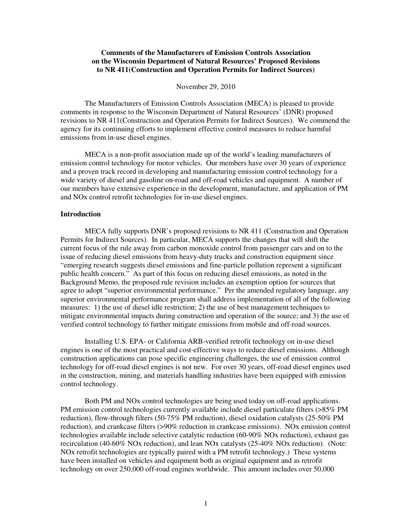# **Comments of the Manufacturers of Emission Controls Association on the Wisconsin Department of Natural Resources' Proposed Revisions to NR 411(Construction and Operation Permits for Indirect Sources)**

#### November 29, 2010

The Manufacturers of Emission Controls Association (MECA) is pleased to provide comments in response to the Wisconsin Department of Natural Resources' (DNR) proposed revisions to NR 411(Construction and Operation Permits for Indirect Sources). We commend the agency for its continuing efforts to implement effective control measures to reduce harmful emissions from in-use diesel engines.

MECA is a non-profit association made up of the world's leading manufacturers of emission control technology for motor vehicles. Our members have over 30 years of experience and a proven track record in developing and manufacturing emission control technology for a wide variety of diesel and gasoline on-road and off-road vehicles and equipment. A number of our members have extensive experience in the development, manufacture, and application of PM and NOx control retrofit technologies for in-use diesel engines.

## **Introduction**

 MECA fully supports DNR's proposed revisions to NR 411 (Construction and Operation Permits for Indirect Sources). In particular, MECA supports the changes that will shift the current focus of the rule away from carbon monoxide control from passenger cars and on to the issue of reducing diesel emissions from heavy-duty trucks and construction equipment since "emerging research suggests diesel emissions and fine-particle pollution represent a significant public health concern." As part of this focus on reducing diesel emissions, as noted in the Background Memo, the proposed rule revision includes an exemption option for sources that agree to adopt "superior environmental performance." Per the amended regulatory language, any superior environmental performance program shall address implementation of all of the following measures: 1) the use of diesel idle restriction; 2) the use of best management techniques to mitigate environmental impacts during construction and operation of the source; and 3) the use of verified control technology to further mitigate emissions from mobile and off-road sources.

 Installing U.S. EPA- or California ARB-verified retrofit technology on in-use diesel engines is one of the most practical and cost-effective ways to reduce diesel emissions. Although construction applications can pose specific engineering challenges, the use of emission control technology for off-road diesel engines is not new. For over 30 years, off-road diesel engines used in the construction, mining, and materials handling industries have been equipped with emission control technology.

 Both PM and NOx control technologies are being used today on off-road applications. PM emission control technologies currently available include diesel particulate filters (>85% PM reduction), flow-through filters (50-75% PM reduction), diesel oxidation catalysts (25-50% PM reduction), and crankcase filters (>90% reduction in crankcase emissions). NOx emission control technologies available include selective catalytic reduction (60-90% NOx reduction), exhaust gas recirculation (40-60% NOx reduction), and lean NOx catalysts (25-40% NOx reduction). (Note: NOx retrofit technologies are typically paired with a PM retrofit technology.) These systems have been installed on vehicles and equipment both as original equipment and as retrofit technology on over 250,000 off-road engines worldwide. This amount includes over 50,000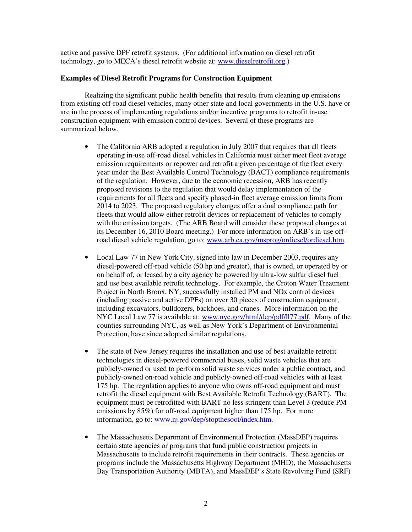active and passive DPF retrofit systems. (For additional information on diesel retrofit technology, go to MECA's diesel retrofit website at: www.dieselretrofit.org.)

# **Examples of Diesel Retrofit Programs for Construction Equipment**

 Realizing the significant public health benefits that results from cleaning up emissions from existing off-road diesel vehicles, many other state and local governments in the U.S. have or are in the process of implementing regulations and/or incentive programs to retrofit in-use construction equipment with emission control devices. Several of these programs are summarized below.

- The California ARB adopted a regulation in July 2007 that requires that all fleets operating in-use off-road diesel vehicles in California must either meet fleet average emission requirements or repower and retrofit a given percentage of the fleet every year under the Best Available Control Technology (BACT) compliance requirements of the regulation. However, due to the economic recession, ARB has recently proposed revisions to the regulation that would delay implementation of the requirements for all fleets and specify phased-in fleet average emission limits from 2014 to 2023. The proposed regulatory changes offer a dual compliance path for fleets that would allow either retrofit devices or replacement of vehicles to comply with the emission targets. (The ARB Board will consider these proposed changes at its December 16, 2010 Board meeting.) For more information on ARB's in-use offroad diesel vehicle regulation, go to: www.arb.ca.gov/msprog/ordiesel/ordiesel.htm.
- Local Law 77 in New York City, signed into law in December 2003, requires any diesel-powered off-road vehicle (50 hp and greater), that is owned, or operated by or on behalf of, or leased by a city agency be powered by ultra-low sulfur diesel fuel and use best available retrofit technology. For example, the Croton Water Treatment Project in North Bronx, NY, successfully installed PM and NOx control devices (including passive and active DPFs) on over 30 pieces of construction equipment, including excavators, bulldozers, backhoes, and cranes. More information on the NYC Local Law 77 is available at: www.nyc.gov/html/dep/pdf/ll77.pdf. Many of the counties surrounding NYC, as well as New York's Department of Environmental Protection, have since adopted similar regulations.
- The state of New Jersey requires the installation and use of best available retrofit technologies in diesel-powered commercial buses, solid waste vehicles that are publicly-owned or used to perform solid waste services under a public contract, and publicly-owned on-road vehicle and publicly-owned off-road vehicles with at least 175 hp. The regulation applies to anyone who owns off-road equipment and must retrofit the diesel equipment with Best Available Retrofit Technology (BART). The equipment must be retrofitted with BART no less stringent than Level 3 (reduce PM emissions by 85%) for off-road equipment higher than 175 hp. For more information, go to: www.nj.gov/dep/stopthesoot/index.htm.
- The Massachusetts Department of Environmental Protection (MassDEP) requires certain state agencies or programs that fund public construction projects in Massachusetts to include retrofit requirements in their contracts. These agencies or programs include the Massachusetts Highway Department (MHD), the Massachusetts Bay Transportation Authority (MBTA), and MassDEP's State Revolving Fund (SRF)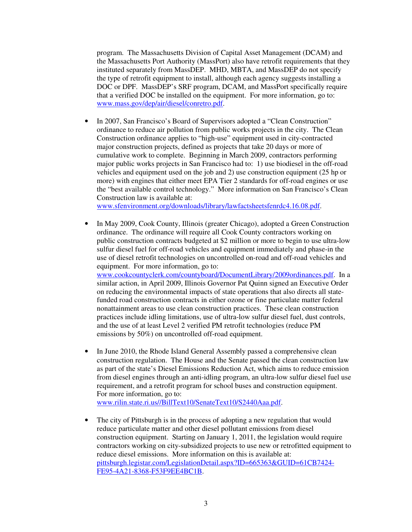program. The Massachusetts Division of Capital Asset Management (DCAM) and the Massachusetts Port Authority (MassPort) also have retrofit requirements that they instituted separately from MassDEP. MHD, MBTA, and MassDEP do not specify the type of retrofit equipment to install, although each agency suggests installing a DOC or DPF. MassDEP's SRF program, DCAM, and MassPort specifically require that a verified DOC be installed on the equipment. For more information, go to: www.mass.gov/dep/air/diesel/conretro.pdf.

• In 2007, San Francisco's Board of Supervisors adopted a "Clean Construction" ordinance to reduce air pollution from public works projects in the city. The Clean Construction ordinance applies to "high-use" equipment used in city-contracted major construction projects, defined as projects that take 20 days or more of cumulative work to complete. Beginning in March 2009, contractors performing major public works projects in San Francisco had to: 1) use biodiesel in the off-road vehicles and equipment used on the job and 2) use construction equipment (25 hp or more) with engines that either meet EPA Tier 2 standards for off-road engines or use the "best available control technology." More information on San Francisco's Clean Construction law is available at:

www.sfenvironment.org/downloads/library/lawfactsheetsfenrdc4.16.08.pdf.

- In May 2009, Cook County, Illinois (greater Chicago), adopted a Green Construction ordinance. The ordinance will require all Cook County contractors working on public construction contracts budgeted at \$2 million or more to begin to use ultra-low sulfur diesel fuel for off-road vehicles and equipment immediately and phase-in the use of diesel retrofit technologies on uncontrolled on-road and off-road vehicles and equipment. For more information, go to: www.cookcountyclerk.com/countyboard/DocumentLibrary/2009ordinances.pdf. In a similar action, in April 2009, Illinois Governor Pat Quinn signed an Executive Order on reducing the environmental impacts of state operations that also directs all statefunded road construction contracts in either ozone or fine particulate matter federal nonattainment areas to use clean construction practices. These clean construction practices include idling limitations, use of ultra-low sulfur diesel fuel, dust controls, and the use of at least Level 2 verified PM retrofit technologies (reduce PM emissions by 50%) on uncontrolled off-road equipment.
- In June 2010, the Rhode Island General Assembly passed a comprehensive clean construction regulation. The House and the Senate passed the clean construction law as part of the state's Diesel Emissions Reduction Act, which aims to reduce emission from diesel engines through an anti-idling program, an ultra-low sulfur diesel fuel use requirement, and a retrofit program for school buses and construction equipment. For more information, go to: www.rilin.state.ri.us//BillText10/SenateText10/S2440Aaa.pdf.
- The city of Pittsburgh is in the process of adopting a new regulation that would reduce particulate matter and other diesel pollutant emissions from diesel construction equipment. Starting on January 1, 2011, the legislation would require contractors working on city-subsidized projects to use new or retrofitted equipment to reduce diesel emissions. More information on this is available at: pittsburgh.legistar.com/LegislationDetail.aspx?ID=665363&GUID=61CB7424- FE95-4A21-8368-F53F9EE4BC1B.